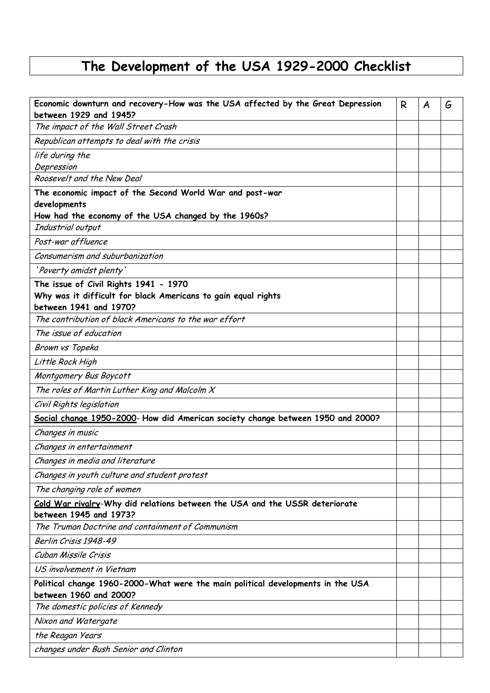## **The Development of the USA 1929-2000 Checklist**

| Economic downturn and recovery-How was the USA affected by the Great Depression<br>between 1929 and 1945?                        | R | A | G |
|----------------------------------------------------------------------------------------------------------------------------------|---|---|---|
| The impact of the Wall Street Crash                                                                                              |   |   |   |
| Republican attempts to deal with the crisis                                                                                      |   |   |   |
| life during the<br>Depression                                                                                                    |   |   |   |
| Roosevelt and the New Deal                                                                                                       |   |   |   |
| The economic impact of the Second World War and post-war<br>developments                                                         |   |   |   |
| How had the economy of the USA changed by the 1960s?                                                                             |   |   |   |
| Industrial output                                                                                                                |   |   |   |
| Post-war affluence                                                                                                               |   |   |   |
| Consumerism and suburbanization                                                                                                  |   |   |   |
| 'Poverty amidst plenty'                                                                                                          |   |   |   |
| The issue of Civil Rights 1941 - 1970<br>Why was it difficult for black Americans to gain equal rights<br>between 1941 and 1970? |   |   |   |
| The contribution of black Americans to the war effort                                                                            |   |   |   |
| The issue of education                                                                                                           |   |   |   |
| Brown vs Topeka                                                                                                                  |   |   |   |
| Little Rock High                                                                                                                 |   |   |   |
| Montgomery Bus Boycott                                                                                                           |   |   |   |
| The roles of Martin Luther King and Malcolm $X$                                                                                  |   |   |   |
| Civil Rights legislation                                                                                                         |   |   |   |
| Social change 1950-2000- How did American society change between 1950 and 2000?                                                  |   |   |   |
| Changes in music                                                                                                                 |   |   |   |
| Changes in entertainment                                                                                                         |   |   |   |
| Changes in media and literature                                                                                                  |   |   |   |
| Changes in youth culture and student protest                                                                                     |   |   |   |
| The changing role of women                                                                                                       |   |   |   |
| Cold War rivalry-Why did relations between the USA and the USSR deteriorate<br>between 1945 and 1973?                            |   |   |   |
| The Truman Doctrine and containment of Communism                                                                                 |   |   |   |
| Berlin Crisis 1948-49                                                                                                            |   |   |   |
| Cuban Missile Crisis                                                                                                             |   |   |   |
| US involvement in Vietnam                                                                                                        |   |   |   |
| Political change 1960-2000-What were the main political developments in the USA<br>between 1960 and 2000?                        |   |   |   |
| The domestic policies of Kennedy                                                                                                 |   |   |   |
| Nixon and Watergate                                                                                                              |   |   |   |
| the Reagan Years                                                                                                                 |   |   |   |
| changes under Bush Senior and Clinton                                                                                            |   |   |   |